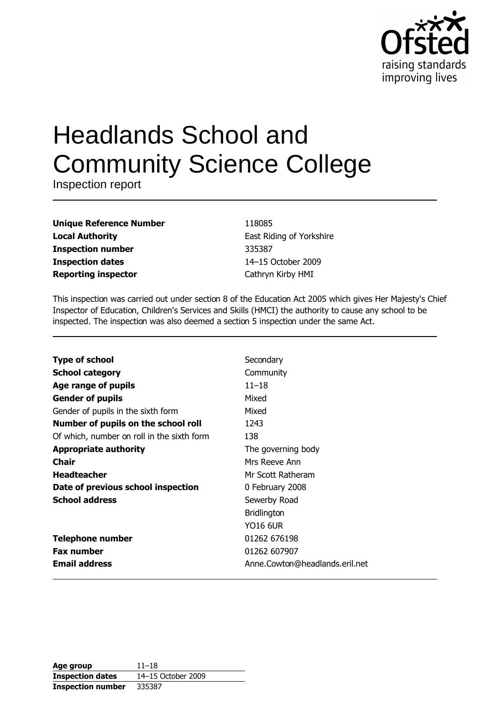

# **Headlands School and Community Science College**

Inspection report

| <b>Unique Reference Number</b> |
|--------------------------------|
| <b>Local Authority</b>         |
| <b>Inspection number</b>       |
| <b>Inspection dates</b>        |
| <b>Reporting inspector</b>     |

118085 East Riding of Yorkshire 335387 14-15 October 2009 Cathryn Kirby HMI

This inspection was carried out under section 8 of the Education Act 2005 which gives Her Majesty's Chief Inspector of Education, Children's Services and Skills (HMCI) the authority to cause any school to be inspected. The inspection was also deemed a section 5 inspection under the same Act.

| <b>Type of school</b>                      | Secondary                      |
|--------------------------------------------|--------------------------------|
| <b>School category</b>                     | Community                      |
| Age range of pupils                        | $11 - 18$                      |
| <b>Gender of pupils</b>                    | Mixed                          |
| Gender of pupils in the sixth form         | Mixed                          |
| Number of pupils on the school roll        | 1243                           |
| Of which, number on roll in the sixth form | 138                            |
| <b>Appropriate authority</b>               | The governing body             |
| <b>Chair</b>                               | Mrs Reeve Ann                  |
| <b>Headteacher</b>                         | Mr Scott Ratheram              |
| Date of previous school inspection         | 0 February 2008                |
| <b>School address</b>                      | Sewerby Road                   |
|                                            | <b>Bridlington</b>             |
|                                            | <b>YO16 6UR</b>                |
| <b>Telephone number</b>                    | 01262 676198                   |
| <b>Fax number</b>                          | 01262 607907                   |
| <b>Email address</b>                       | Anne.Cowton@headlands.eril.net |
|                                            |                                |

| Age group                | $11 - 18$          |
|--------------------------|--------------------|
| <b>Inspection dates</b>  | 14–15 October 2009 |
| <b>Inspection number</b> | 335387             |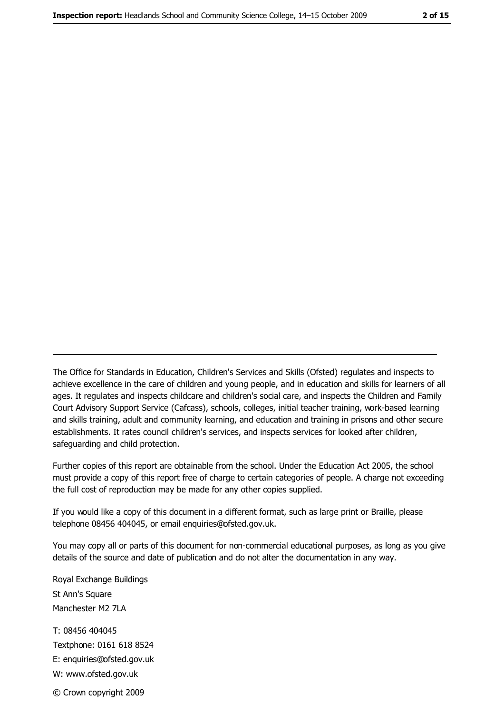The Office for Standards in Education, Children's Services and Skills (Ofsted) regulates and inspects to achieve excellence in the care of children and young people, and in education and skills for learners of all ages. It regulates and inspects childcare and children's social care, and inspects the Children and Family Court Advisory Support Service (Cafcass), schools, colleges, initial teacher training, work-based learning and skills training, adult and community learning, and education and training in prisons and other secure establishments. It rates council children's services, and inspects services for looked after children, safequarding and child protection.

Further copies of this report are obtainable from the school. Under the Education Act 2005, the school must provide a copy of this report free of charge to certain categories of people. A charge not exceeding the full cost of reproduction may be made for any other copies supplied.

If you would like a copy of this document in a different format, such as large print or Braille, please telephone 08456 404045, or email enquiries@ofsted.gov.uk.

You may copy all or parts of this document for non-commercial educational purposes, as long as you give details of the source and date of publication and do not alter the documentation in any way.

Royal Exchange Buildings St Ann's Square Manchester M2 7LA T: 08456 404045 Textphone: 0161 618 8524 E: enquiries@ofsted.gov.uk W: www.ofsted.gov.uk © Crown copyright 2009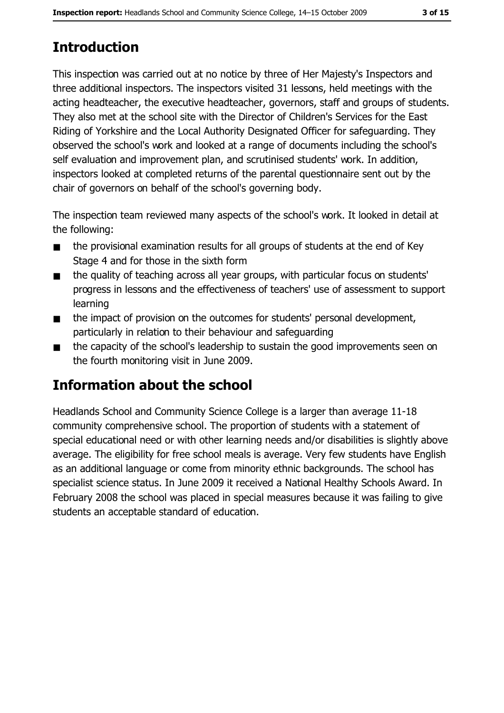# **Introduction**

This inspection was carried out at no notice by three of Her Majesty's Inspectors and three additional inspectors. The inspectors visited 31 lessons, held meetings with the acting headteacher, the executive headteacher, governors, staff and groups of students. They also met at the school site with the Director of Children's Services for the East Riding of Yorkshire and the Local Authority Designated Officer for safeguarding. They observed the school's work and looked at a range of documents including the school's self evaluation and improvement plan, and scrutinised students' work. In addition, inspectors looked at completed returns of the parental questionnaire sent out by the chair of governors on behalf of the school's governing body.

The inspection team reviewed many aspects of the school's work. It looked in detail at the following:

- the provisional examination results for all groups of students at the end of Key  $\blacksquare$ Stage 4 and for those in the sixth form
- the quality of teaching across all year groups, with particular focus on students'  $\blacksquare$ progress in lessons and the effectiveness of teachers' use of assessment to support learning
- the impact of provision on the outcomes for students' personal development,  $\blacksquare$ particularly in relation to their behaviour and safequarding
- the capacity of the school's leadership to sustain the good improvements seen on  $\blacksquare$ the fourth monitoring visit in June 2009.

## Information about the school

Headlands School and Community Science College is a larger than average 11-18 community comprehensive school. The proportion of students with a statement of special educational need or with other learning needs and/or disabilities is slightly above average. The eligibility for free school meals is average. Very few students have English as an additional language or come from minority ethnic backgrounds. The school has specialist science status. In June 2009 it received a National Healthy Schools Award. In February 2008 the school was placed in special measures because it was failing to give students an acceptable standard of education.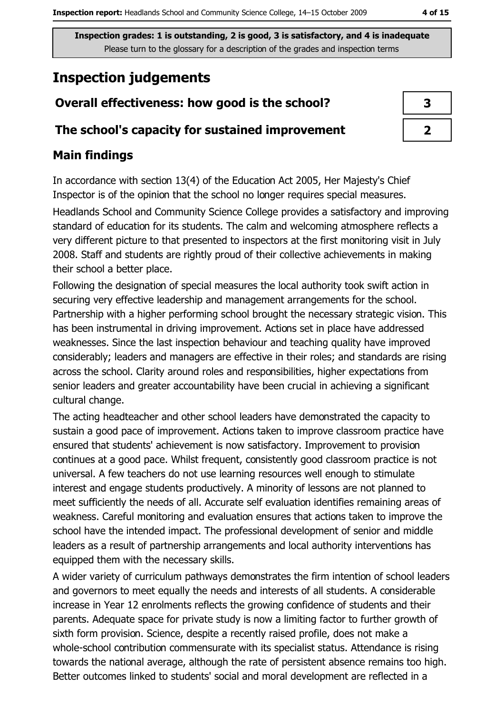## **Inspection judgements**

### Overall effectiveness: how good is the school?

#### The school's capacity for sustained improvement

#### **Main findings**

In accordance with section 13(4) of the Education Act 2005, Her Majesty's Chief Inspector is of the opinion that the school no longer requires special measures.

Headlands School and Community Science College provides a satisfactory and improving standard of education for its students. The calm and welcoming atmosphere reflects a very different picture to that presented to inspectors at the first monitoring visit in July 2008. Staff and students are rightly proud of their collective achievements in making their school a better place.

Following the designation of special measures the local authority took swift action in securing very effective leadership and management arrangements for the school. Partnership with a higher performing school brought the necessary strategic vision. This has been instrumental in driving improvement. Actions set in place have addressed weaknesses. Since the last inspection behaviour and teaching quality have improved considerably; leaders and managers are effective in their roles; and standards are rising across the school. Clarity around roles and responsibilities, higher expectations from senior leaders and greater accountability have been crucial in achieving a significant cultural change.

The acting headteacher and other school leaders have demonstrated the capacity to sustain a good pace of improvement. Actions taken to improve classroom practice have ensured that students' achievement is now satisfactory. Improvement to provision continues at a good pace. Whilst frequent, consistently good classroom practice is not universal. A few teachers do not use learning resources well enough to stimulate interest and engage students productively. A minority of lessons are not planned to meet sufficiently the needs of all. Accurate self evaluation identifies remaining areas of weakness. Careful monitoring and evaluation ensures that actions taken to improve the school have the intended impact. The professional development of senior and middle leaders as a result of partnership arrangements and local authority interventions has equipped them with the necessary skills.

A wider variety of curriculum pathways demonstrates the firm intention of school leaders and governors to meet equally the needs and interests of all students. A considerable increase in Year 12 enrolments reflects the growing confidence of students and their parents. Adequate space for private study is now a limiting factor to further growth of sixth form provision. Science, despite a recently raised profile, does not make a whole-school contribution commensurate with its specialist status. Attendance is rising towards the national average, although the rate of persistent absence remains too high. Better outcomes linked to students' social and moral development are reflected in a

| 3 |
|---|
|   |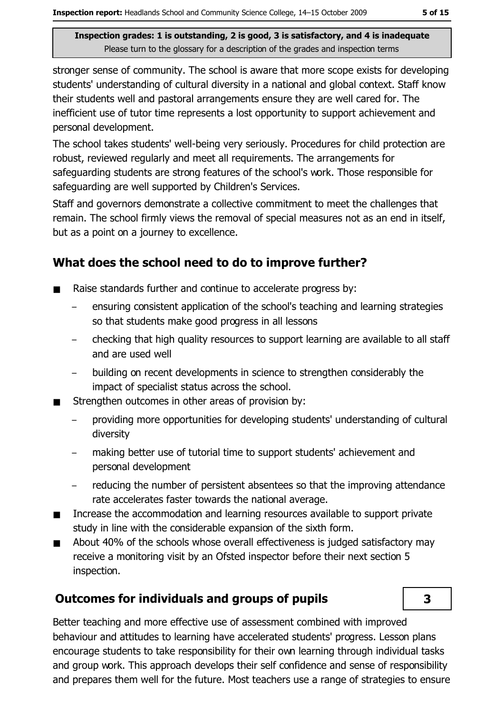stronger sense of community. The school is aware that more scope exists for developing students' understanding of cultural diversity in a national and global context. Staff know their students well and pastoral arrangements ensure they are well cared for. The inefficient use of tutor time represents a lost opportunity to support achievement and personal development.

The school takes students' well-being very seriously. Procedures for child protection are robust, reviewed regularly and meet all requirements. The arrangements for safequarding students are strong features of the school's work. Those responsible for safeguarding are well supported by Children's Services.

Staff and governors demonstrate a collective commitment to meet the challenges that remain. The school firmly views the removal of special measures not as an end in itself, but as a point on a journey to excellence.

#### What does the school need to do to improve further?

- Raise standards further and continue to accelerate progress by:
	- ensuring consistent application of the school's teaching and learning strategies so that students make good progress in all lessons
	- checking that high quality resources to support learning are available to all staff and are used well
	- building on recent developments in science to strengthen considerably the impact of specialist status across the school.
- Strengthen outcomes in other areas of provision by:
	- providing more opportunities for developing students' understanding of cultural  $\overline{\phantom{a}}$ diversity
	- making better use of tutorial time to support students' achievement and personal development
	- reducing the number of persistent absentees so that the improving attendance rate accelerates faster towards the national average.
- Increase the accommodation and learning resources available to support private  $\blacksquare$ study in line with the considerable expansion of the sixth form.
- About 40% of the schools whose overall effectiveness is judged satisfactory may  $\blacksquare$ receive a monitoring visit by an Ofsted inspector before their next section 5 inspection.

## **Outcomes for individuals and groups of pupils**



Better teaching and more effective use of assessment combined with improved behaviour and attitudes to learning have accelerated students' progress. Lesson plans encourage students to take responsibility for their own learning through individual tasks and group work. This approach develops their self confidence and sense of responsibility and prepares them well for the future. Most teachers use a range of strategies to ensure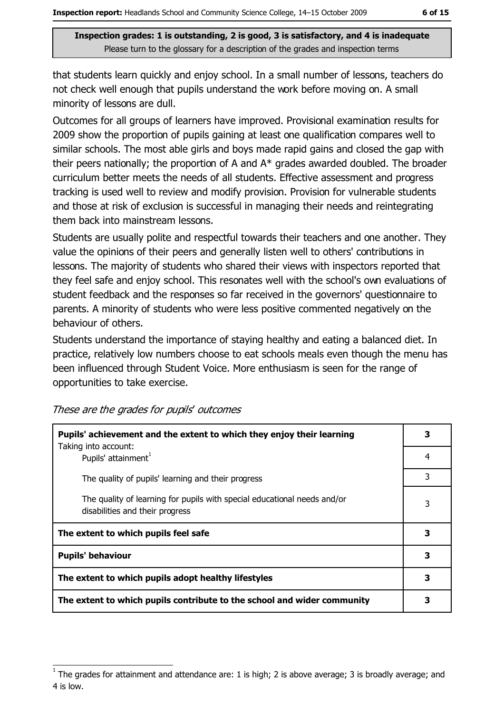that students learn quickly and enjoy school. In a small number of lessons, teachers do not check well enough that pupils understand the work before moving on. A small minority of lessons are dull.

Outcomes for all groups of learners have improved. Provisional examination results for 2009 show the proportion of pupils gaining at least one qualification compares well to similar schools. The most able girls and boys made rapid gains and closed the gap with their peers nationally; the proportion of A and A\* grades awarded doubled. The broader curriculum better meets the needs of all students. Effective assessment and progress tracking is used well to review and modify provision. Provision for vulnerable students and those at risk of exclusion is successful in managing their needs and reintegrating them back into mainstream lessons.

Students are usually polite and respectful towards their teachers and one another. They value the opinions of their peers and generally listen well to others' contributions in lessons. The majority of students who shared their views with inspectors reported that they feel safe and enjoy school. This resonates well with the school's own evaluations of student feedback and the responses so far received in the governors' questionnaire to parents. A minority of students who were less positive commented negatively on the behaviour of others.

Students understand the importance of staying healthy and eating a balanced diet. In practice, relatively low numbers choose to eat schools meals even though the menu has been influenced through Student Voice. More enthusiasm is seen for the range of opportunities to take exercise.

| Pupils' achievement and the extent to which they enjoy their learning                                       |   |
|-------------------------------------------------------------------------------------------------------------|---|
| Taking into account:<br>Pupils' attainment <sup>1</sup>                                                     | 4 |
| The quality of pupils' learning and their progress                                                          | 3 |
| The quality of learning for pupils with special educational needs and/or<br>disabilities and their progress | 3 |
| The extent to which pupils feel safe                                                                        | 3 |
| <b>Pupils' behaviour</b>                                                                                    | 3 |
| The extent to which pupils adopt healthy lifestyles                                                         |   |
| The extent to which pupils contribute to the school and wider community                                     |   |

These are the grades for pupils' outcomes

The grades for attainment and attendance are: 1 is high; 2 is above average; 3 is broadly average; and 4 is low.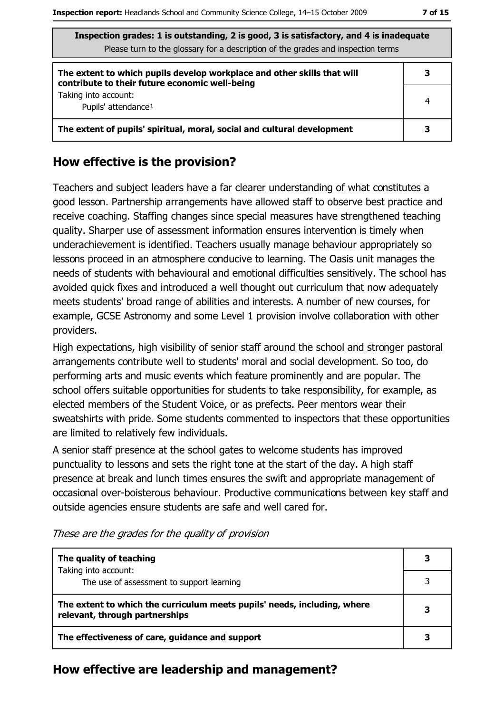| Inspection grades: 1 is outstanding, 2 is good, 3 is satisfactory, and 4 is inadequate<br>Please turn to the glossary for a description of the grades and inspection terms |   |  |
|----------------------------------------------------------------------------------------------------------------------------------------------------------------------------|---|--|
| The extent to which pupils develop workplace and other skills that will<br>contribute to their future economic well-being                                                  | 3 |  |
| Taking into account:<br>Pupils' attendance <sup>1</sup>                                                                                                                    | 4 |  |
| The extent of pupils' spiritual, moral, social and cultural development                                                                                                    |   |  |

#### How effective is the provision?

Teachers and subject leaders have a far clearer understanding of what constitutes a good lesson. Partnership arrangements have allowed staff to observe best practice and receive coaching. Staffing changes since special measures have strengthened teaching quality. Sharper use of assessment information ensures intervention is timely when underachievement is identified. Teachers usually manage behaviour appropriately so lessons proceed in an atmosphere conducive to learning. The Oasis unit manages the needs of students with behavioural and emotional difficulties sensitively. The school has avoided quick fixes and introduced a well thought out curriculum that now adequately meets students' broad range of abilities and interests. A number of new courses, for example, GCSE Astronomy and some Level 1 provision involve collaboration with other providers.

High expectations, high visibility of senior staff around the school and stronger pastoral arrangements contribute well to students' moral and social development. So too, do performing arts and music events which feature prominently and are popular. The school offers suitable opportunities for students to take responsibility, for example, as elected members of the Student Voice, or as prefects. Peer mentors wear their sweatshirts with pride. Some students commented to inspectors that these opportunities are limited to relatively few individuals.

A senior staff presence at the school gates to welcome students has improved punctuality to lessons and sets the right tone at the start of the day. A high staff presence at break and lunch times ensures the swift and appropriate management of occasional over-boisterous behaviour. Productive communications between key staff and outside agencies ensure students are safe and well cared for.

| The quality of teaching<br>Taking into account:                                                            |  |  |
|------------------------------------------------------------------------------------------------------------|--|--|
| The use of assessment to support learning                                                                  |  |  |
| The extent to which the curriculum meets pupils' needs, including, where<br>relevant, through partnerships |  |  |
| The effectiveness of care, guidance and support                                                            |  |  |

These are the grades for the quality of provision

#### How effective are leadership and management?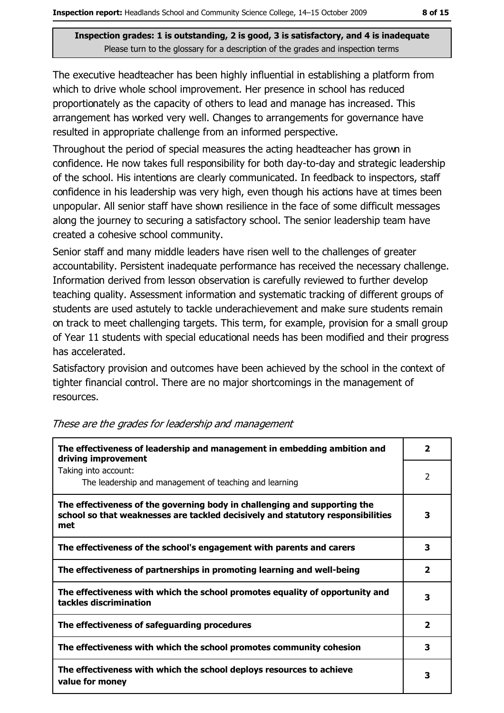The executive headteacher has been highly influential in establishing a platform from which to drive whole school improvement. Her presence in school has reduced proportionately as the capacity of others to lead and manage has increased. This arrangement has worked very well. Changes to arrangements for governance have resulted in appropriate challenge from an informed perspective.

Throughout the period of special measures the acting headteacher has grown in confidence. He now takes full responsibility for both day-to-day and strategic leadership of the school. His intentions are clearly communicated. In feedback to inspectors, staff confidence in his leadership was very high, even though his actions have at times been unpopular. All senior staff have shown resilience in the face of some difficult messages along the journey to securing a satisfactory school. The senior leadership team have created a cohesive school community.

Senior staff and many middle leaders have risen well to the challenges of greater accountability. Persistent inadequate performance has received the necessary challenge. Information derived from lesson observation is carefully reviewed to further develop teaching quality. Assessment information and systematic tracking of different groups of students are used astutely to tackle underachievement and make sure students remain on track to meet challenging targets. This term, for example, provision for a small group of Year 11 students with special educational needs has been modified and their progress has accelerated.

Satisfactory provision and outcomes have been achieved by the school in the context of tighter financial control. There are no major shortcomings in the management of resources.

| The effectiveness of leadership and management in embedding ambition and<br>driving improvement                                                                     |                         |  |
|---------------------------------------------------------------------------------------------------------------------------------------------------------------------|-------------------------|--|
| Taking into account:<br>The leadership and management of teaching and learning                                                                                      | $\overline{2}$          |  |
| The effectiveness of the governing body in challenging and supporting the<br>school so that weaknesses are tackled decisively and statutory responsibilities<br>met | 3                       |  |
| The effectiveness of the school's engagement with parents and carers                                                                                                | 3                       |  |
| The effectiveness of partnerships in promoting learning and well-being                                                                                              | $\overline{\mathbf{2}}$ |  |
| The effectiveness with which the school promotes equality of opportunity and<br>tackles discrimination                                                              | 3                       |  |
| The effectiveness of safeguarding procedures                                                                                                                        | $\overline{\mathbf{2}}$ |  |
| The effectiveness with which the school promotes community cohesion                                                                                                 | З                       |  |
| The effectiveness with which the school deploys resources to achieve<br>value for money                                                                             | 3                       |  |

These are the grades for leadership and management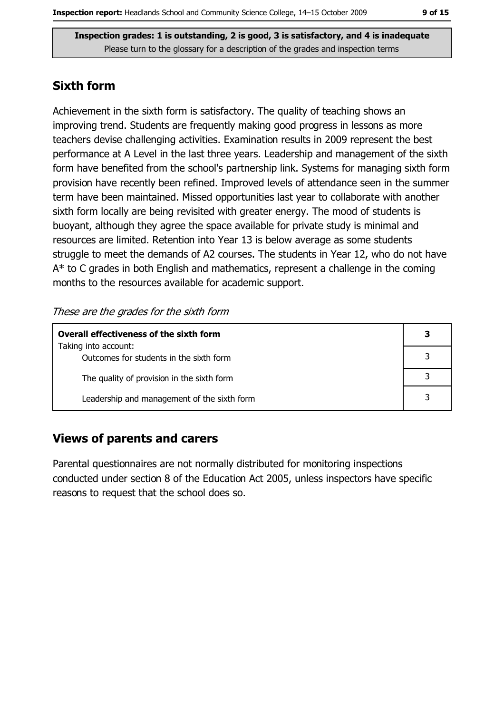#### **Sixth form**

Achievement in the sixth form is satisfactory. The quality of teaching shows an improving trend. Students are frequently making good progress in lessons as more teachers devise challenging activities. Examination results in 2009 represent the best performance at A Level in the last three years. Leadership and management of the sixth form have benefited from the school's partnership link. Systems for managing sixth form provision have recently been refined. Improved levels of attendance seen in the summer term have been maintained. Missed opportunities last year to collaborate with another sixth form locally are being revisited with greater energy. The mood of students is buoyant, although they agree the space available for private study is minimal and resources are limited. Retention into Year 13 is below average as some students struggle to meet the demands of A2 courses. The students in Year 12, who do not have  $A^*$  to C grades in both English and mathematics, represent a challenge in the coming months to the resources available for academic support.

These are the grades for the sixth form

| <b>Overall effectiveness of the sixth form</b> |  |  |
|------------------------------------------------|--|--|
| Taking into account:                           |  |  |
| Outcomes for students in the sixth form        |  |  |
| The quality of provision in the sixth form     |  |  |
| Leadership and management of the sixth form    |  |  |

#### **Views of parents and carers**

Parental questionnaires are not normally distributed for monitoring inspections conducted under section 8 of the Education Act 2005, unless inspectors have specific reasons to request that the school does so.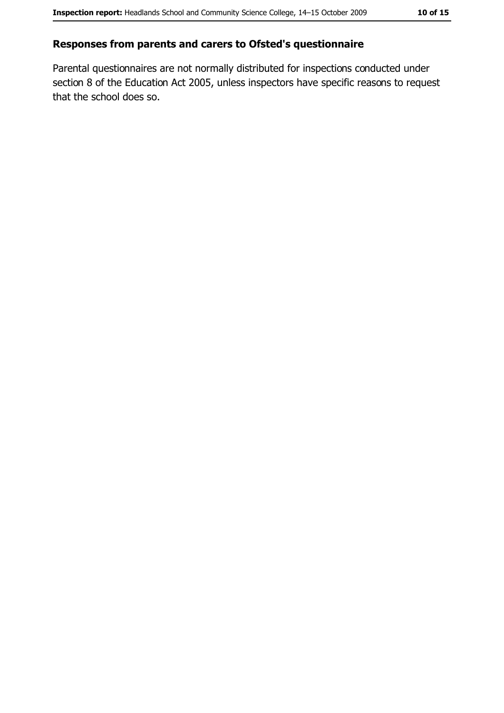#### Responses from parents and carers to Ofsted's questionnaire

Parental questionnaires are not normally distributed for inspections conducted under section 8 of the Education Act 2005, unless inspectors have specific reasons to request that the school does so.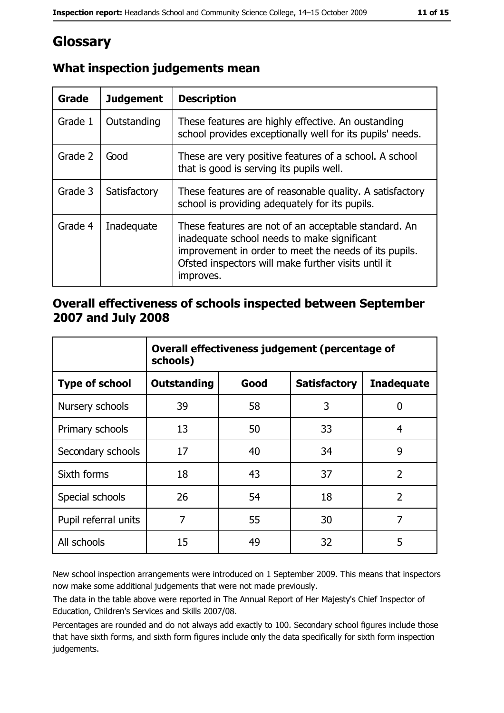## Glossary

| Grade   | <b>Judgement</b> | <b>Description</b>                                                                                                                                                                                                               |
|---------|------------------|----------------------------------------------------------------------------------------------------------------------------------------------------------------------------------------------------------------------------------|
| Grade 1 | Outstanding      | These features are highly effective. An oustanding<br>school provides exceptionally well for its pupils' needs.                                                                                                                  |
| Grade 2 | Good             | These are very positive features of a school. A school<br>that is good is serving its pupils well.                                                                                                                               |
| Grade 3 | Satisfactory     | These features are of reasonable quality. A satisfactory<br>school is providing adequately for its pupils.                                                                                                                       |
| Grade 4 | Inadequate       | These features are not of an acceptable standard. An<br>inadequate school needs to make significant<br>improvement in order to meet the needs of its pupils.<br>Ofsted inspectors will make further visits until it<br>improves. |

#### What inspection judgements mean

#### Overall effectiveness of schools inspected between September 2007 and July 2008

|                       | Overall effectiveness judgement (percentage of<br>schools) |      |                     |                   |
|-----------------------|------------------------------------------------------------|------|---------------------|-------------------|
| <b>Type of school</b> | Outstanding                                                | Good | <b>Satisfactory</b> | <b>Inadequate</b> |
| Nursery schools       | 39                                                         | 58   | 3                   | 0                 |
| Primary schools       | 13                                                         | 50   | 33                  | 4                 |
| Secondary schools     | 17                                                         | 40   | 34                  | 9                 |
| Sixth forms           | 18                                                         | 43   | 37                  | $\overline{2}$    |
| Special schools       | 26                                                         | 54   | 18                  | $\overline{2}$    |
| Pupil referral units  | 7                                                          | 55   | 30                  | 7                 |
| All schools           | 15                                                         | 49   | 32                  | 5                 |

New school inspection arrangements were introduced on 1 September 2009. This means that inspectors now make some additional judgements that were not made previously.

The data in the table above were reported in The Annual Report of Her Majesty's Chief Inspector of Education, Children's Services and Skills 2007/08.

Percentages are rounded and do not always add exactly to 100. Secondary school figures include those that have sixth forms, and sixth form figures include only the data specifically for sixth form inspection judgements.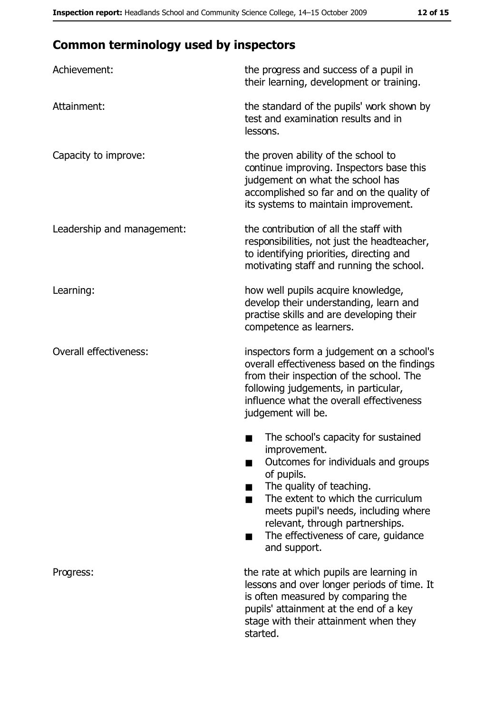## **Common terminology used by inspectors**

| Achievement:                  | the progress and success of a pupil in<br>their learning, development or training.                                                                                                                                                                                                                           |
|-------------------------------|--------------------------------------------------------------------------------------------------------------------------------------------------------------------------------------------------------------------------------------------------------------------------------------------------------------|
| Attainment:                   | the standard of the pupils' work shown by<br>test and examination results and in<br>lessons.                                                                                                                                                                                                                 |
| Capacity to improve:          | the proven ability of the school to<br>continue improving. Inspectors base this<br>judgement on what the school has<br>accomplished so far and on the quality of<br>its systems to maintain improvement.                                                                                                     |
| Leadership and management:    | the contribution of all the staff with<br>responsibilities, not just the headteacher,<br>to identifying priorities, directing and<br>motivating staff and running the school.                                                                                                                                |
| Learning:                     | how well pupils acquire knowledge,<br>develop their understanding, learn and<br>practise skills and are developing their<br>competence as learners.                                                                                                                                                          |
| <b>Overall effectiveness:</b> | inspectors form a judgement on a school's<br>overall effectiveness based on the findings<br>from their inspection of the school. The<br>following judgements, in particular,<br>influence what the overall effectiveness<br>judgement will be.                                                               |
|                               | The school's capacity for sustained<br>improvement.<br>Outcomes for individuals and groups<br>of pupils.<br>The quality of teaching.<br>The extent to which the curriculum<br>meets pupil's needs, including where<br>relevant, through partnerships.<br>The effectiveness of care, guidance<br>and support. |
| Progress:                     | the rate at which pupils are learning in<br>lessons and over longer periods of time. It<br>is often measured by comparing the<br>pupils' attainment at the end of a key<br>stage with their attainment when they<br>started.                                                                                 |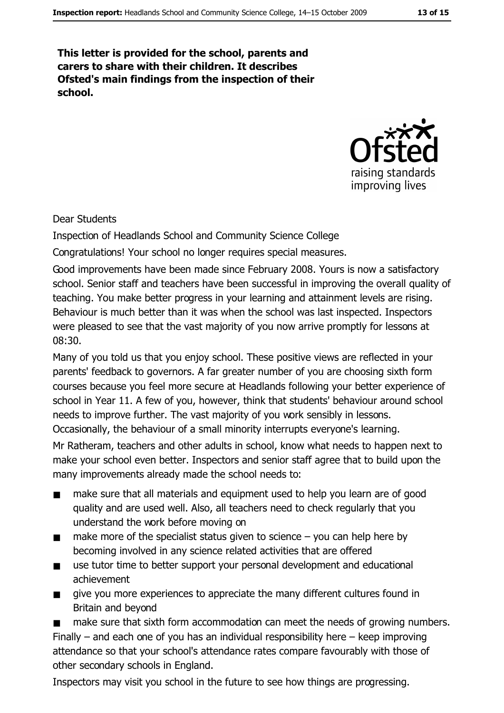This letter is provided for the school, parents and carers to share with their children. It describes Ofsted's main findings from the inspection of their school.



Dear Students

Inspection of Headlands School and Community Science College

Congratulations! Your school no longer requires special measures.

Good improvements have been made since February 2008. Yours is now a satisfactory school. Senior staff and teachers have been successful in improving the overall quality of teaching. You make better progress in your learning and attainment levels are rising. Behaviour is much better than it was when the school was last inspected. Inspectors were pleased to see that the vast majority of you now arrive promptly for lessons at  $08:30.$ 

Many of you told us that you enjoy school. These positive views are reflected in your parents' feedback to governors. A far greater number of you are choosing sixth form courses because you feel more secure at Headlands following your better experience of school in Year 11. A few of you, however, think that students' behaviour around school needs to improve further. The vast majority of you work sensibly in lessons. Occasionally, the behaviour of a small minority interrupts everyone's learning.

Mr Ratheram, teachers and other adults in school, know what needs to happen next to make your school even better. Inspectors and senior staff agree that to build upon the many improvements already made the school needs to:

- make sure that all materials and equipment used to help you learn are of good  $\blacksquare$ quality and are used well. Also, all teachers need to check regularly that you understand the work before moving on
- make more of the specialist status given to science  $-$  you can help here by  $\blacksquare$ becoming involved in any science related activities that are offered
- use tutor time to better support your personal development and educational  $\blacksquare$ achievement
- give you more experiences to appreciate the many different cultures found in  $\blacksquare$ Britain and bevond

make sure that sixth form accommodation can meet the needs of growing numbers. Finally  $-$  and each one of you has an individual responsibility here  $-$  keep improving attendance so that your school's attendance rates compare favourably with those of other secondary schools in England.

Inspectors may visit you school in the future to see how things are progressing.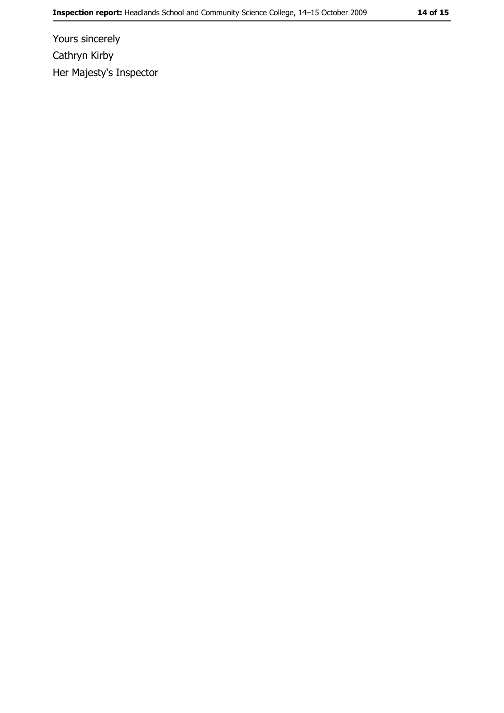Yours sincerely Cathryn Kirby Her Majesty's Inspector